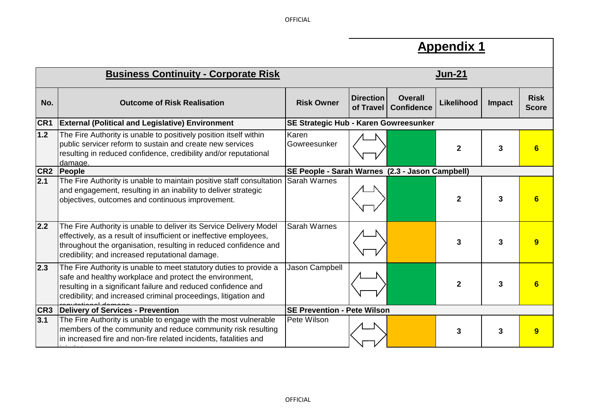**OFFICIAL** 

┑

|                 | <b>Appendix 1</b>                                                                                                                                                                                                                                                 |                                                 |                               |                                     |                |        |                             |  |  |
|-----------------|-------------------------------------------------------------------------------------------------------------------------------------------------------------------------------------------------------------------------------------------------------------------|-------------------------------------------------|-------------------------------|-------------------------------------|----------------|--------|-----------------------------|--|--|
|                 | <b>Business Continuity - Corporate Risk</b>                                                                                                                                                                                                                       | <u>Jun-21</u>                                   |                               |                                     |                |        |                             |  |  |
| No.             | <b>Outcome of Risk Realisation</b>                                                                                                                                                                                                                                | <b>Risk Owner</b>                               | <b>Direction</b><br>of Travel | <b>Overall</b><br><b>Confidence</b> | Likelihood     | Impact | <b>Risk</b><br><b>Score</b> |  |  |
| CR <sub>1</sub> | <b>External (Political and Legislative) Environment</b>                                                                                                                                                                                                           | SE Strategic Hub - Karen Gowreesunker           |                               |                                     |                |        |                             |  |  |
| 1.2             | The Fire Authority is unable to positively position itself within<br>public servicer reform to sustain and create new services<br>resulting in reduced confidence, credibility and/or reputational<br>damage.                                                     | Karen<br>Gowreesunker                           |                               |                                     | $\mathbf{2}$   | 3      | 6                           |  |  |
| CR <sub>2</sub> | People                                                                                                                                                                                                                                                            | SE People - Sarah Warnes (2.3 - Jason Campbell) |                               |                                     |                |        |                             |  |  |
| 2.1             | The Fire Authority is unable to maintain positive staff consultation<br>and engagement, resulting in an inability to deliver strategic<br>objectives, outcomes and continuous improvement.                                                                        | <b>S</b> arah Warnes                            |                               |                                     | $\overline{2}$ | 3      | 6                           |  |  |
| 2.2             | The Fire Authority is unable to deliver its Service Delivery Model<br>effectively, as a result of insufficient or ineffective employees,<br>throughout the organisation, resulting in reduced confidence and<br>credibility; and increased reputational damage.   | <b>Sarah Warnes</b>                             |                               |                                     | 3              | 3      | 9 <sup>°</sup>              |  |  |
| 2.3             | The Fire Authority is unable to meet statutory duties to provide a<br>safe and healthy workplace and protect the environment,<br>resulting in a significant failure and reduced confidence and<br>credibility; and increased criminal proceedings, litigation and | Jason Campbell                                  |                               |                                     | $\mathbf{2}$   | 3      | $6\phantom{1}6$             |  |  |
| CR <sub>3</sub> | Delivery of Services - Prevention                                                                                                                                                                                                                                 | <b>SE Prevention - Pete Wilson</b>              |                               |                                     |                |        |                             |  |  |
| 3.1             | The Fire Authority is unable to engage with the most vulnerable<br>members of the community and reduce community risk resulting<br>in increased fire and non-fire related incidents, fatalities and                                                               | Pete Wilson                                     |                               |                                     | 3              | 3      | 9                           |  |  |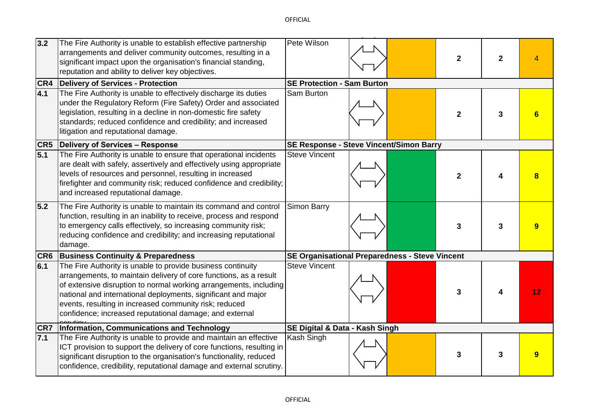| 3.2 | The Fire Authority is unable to establish effective partnership<br>arrangements and deliver community outcomes, resulting in a<br>significant impact upon the organisation's financial standing,<br>reputation and ability to deliver key objectives.                                                                                                                                       | Pete Wilson                                    |  |  | $\overline{2}$ | $\overline{2}$ |    |  |
|-----|---------------------------------------------------------------------------------------------------------------------------------------------------------------------------------------------------------------------------------------------------------------------------------------------------------------------------------------------------------------------------------------------|------------------------------------------------|--|--|----------------|----------------|----|--|
|     | <b>CR4</b> Delivery of Services - Protection                                                                                                                                                                                                                                                                                                                                                | <b>SE Protection - Sam Burton</b>              |  |  |                |                |    |  |
| 4.1 | The Fire Authority is unable to effectively discharge its duties<br>under the Regulatory Reform (Fire Safety) Order and associated<br>legislation, resulting in a decline in non-domestic fire safety<br>standards; reduced confidence and credibility; and increased<br>litigation and reputational damage.                                                                                | Sam Burton                                     |  |  | $\overline{2}$ | 3              |    |  |
|     | <b>CR5</b> Delivery of Services - Response                                                                                                                                                                                                                                                                                                                                                  | SE Response - Steve Vincent/Simon Barry        |  |  |                |                |    |  |
| 5.1 | The Fire Authority is unable to ensure that operational incidents<br>are dealt with safely, assertively and effectively using appropriate<br>levels of resources and personnel, resulting in increased<br>firefighter and community risk; reduced confidence and credibility;<br>and increased reputational damage.                                                                         | <b>Steve Vincent</b>                           |  |  | $\overline{2}$ |                |    |  |
| 5.2 | The Fire Authority is unable to maintain its command and control<br>function, resulting in an inability to receive, process and respond<br>to emergency calls effectively, so increasing community risk;<br>reducing confidence and credibility; and increasing reputational<br>damage.                                                                                                     | <b>Simon Barry</b>                             |  |  | 3              | 3              |    |  |
|     | <b>CR6 Business Continuity &amp; Preparedness</b>                                                                                                                                                                                                                                                                                                                                           | SE Organisational Preparedness - Steve Vincent |  |  |                |                |    |  |
| 6.1 | The Fire Authority is unable to provide business continuity<br>arrangements, to maintain delivery of core functions, as a result<br>of extensive disruption to normal working arrangements, including<br>national and international deployments, significant and major<br>events, resulting in increased community risk; reduced<br>confidence; increased reputational damage; and external | <b>Steve Vincent</b>                           |  |  | 3              | 4              | 12 |  |
|     | <b>CR7</b> Information, Communications and Technology                                                                                                                                                                                                                                                                                                                                       | SE Digital & Data - Kash Singh                 |  |  |                |                |    |  |
| 7.1 | The Fire Authority is unable to provide and maintain an effective<br>ICT provision to support the delivery of core functions, resulting in<br>significant disruption to the organisation's functionality, reduced<br>confidence, credibility, reputational damage and external scrutiny.                                                                                                    | Kash Singh                                     |  |  | 3              | 3              |    |  |